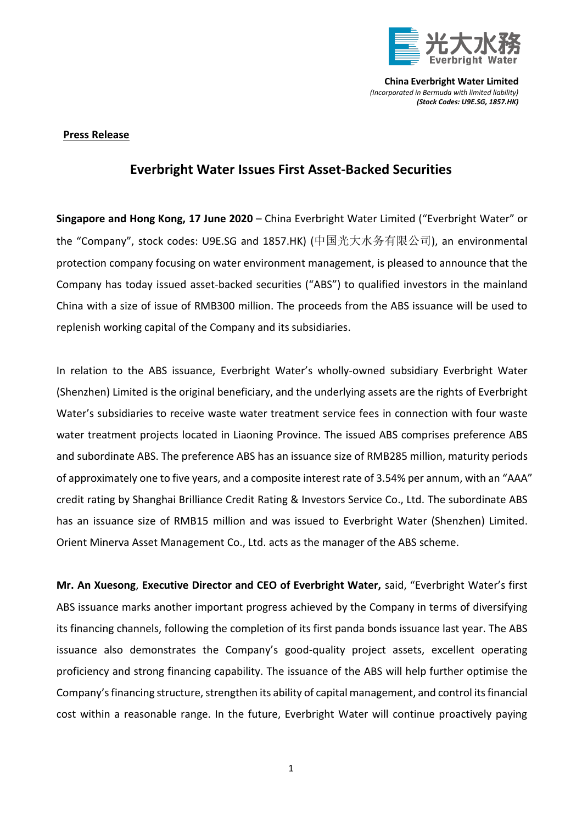

**China Everbright Water Limited** *(Incorporated in Bermuda with limited liability) (Stock Codes: U9E.SG, 1857.HK)*

## **Press Release**

## **Everbright Water Issues First Asset-Backed Securities**

**Singapore and Hong Kong, 17 June 2020** – China Everbright Water Limited ("Everbright Water" or the "Company", stock codes: U9E.SG and 1857.HK) (中国光大水务有限公司), an environmental protection company focusing on water environment management, is pleased to announce that the Company has today issued asset-backed securities ("ABS") to qualified investors in the mainland China with a size of issue of RMB300 million. The proceeds from the ABS issuance will be used to replenish working capital of the Company and its subsidiaries.

In relation to the ABS issuance, Everbright Water's wholly-owned subsidiary Everbright Water (Shenzhen) Limited is the original beneficiary, and the underlying assets are the rights of Everbright Water's subsidiaries to receive waste water treatment service fees in connection with four waste water treatment projects located in Liaoning Province. The issued ABS comprises preference ABS and subordinate ABS. The preference ABS has an issuance size of RMB285 million, maturity periods of approximately one to five years, and a composite interest rate of 3.54% per annum, with an "AAA" credit rating by Shanghai Brilliance Credit Rating & Investors Service Co., Ltd. The subordinate ABS has an issuance size of RMB15 million and was issued to Everbright Water (Shenzhen) Limited. Orient Minerva Asset Management Co., Ltd. acts as the manager of the ABS scheme.

**Mr. An Xuesong**, **Executive Director and CEO of Everbright Water,** said, "Everbright Water's first ABS issuance marks another important progress achieved by the Company in terms of diversifying its financing channels, following the completion of its first panda bonds issuance last year. The ABS issuance also demonstrates the Company's good-quality project assets, excellent operating proficiency and strong financing capability. The issuance of the ABS will help further optimise the Company's financing structure, strengthen its ability of capital management, and control its financial cost within a reasonable range. In the future, Everbright Water will continue proactively paying